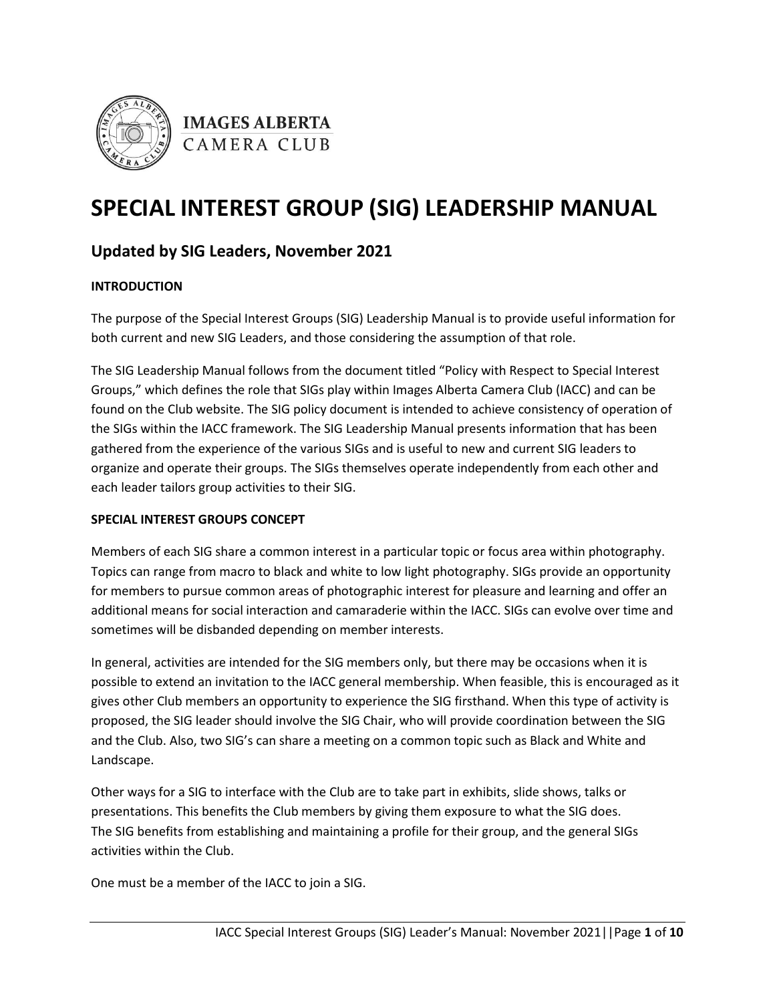



# **SPECIAL INTEREST GROUP (SIG) LEADERSHIP MANUAL**

## **Updated by SIG Leaders, November 2021**

## **INTRODUCTION**

The purpose of the Special Interest Groups (SIG) Leadership Manual is to provide useful information for both current and new SIG Leaders, and those considering the assumption of that role.

The SIG Leadership Manual follows from the document titled "Policy with Respect to Special Interest Groups," which defines the role that SIGs play within Images Alberta Camera Club (IACC) and can be found on the Club website. The SIG policy document is intended to achieve consistency of operation of the SIGs within the IACC framework. The SIG Leadership Manual presents information that has been gathered from the experience of the various SIGs and is useful to new and current SIG leaders to organize and operate their groups. The SIGs themselves operate independently from each other and each leader tailors group activities to their SIG.

## **SPECIAL INTEREST GROUPS CONCEPT**

Members of each SIG share a common interest in a particular topic or focus area within photography. Topics can range from macro to black and white to low light photography. SIGs provide an opportunity for members to pursue common areas of photographic interest for pleasure and learning and offer an additional means for social interaction and camaraderie within the IACC. SIGs can evolve over time and sometimes will be disbanded depending on member interests.

In general, activities are intended for the SIG members only, but there may be occasions when it is possible to extend an invitation to the IACC general membership. When feasible, this is encouraged as it gives other Club members an opportunity to experience the SIG firsthand. When this type of activity is proposed, the SIG leader should involve the SIG Chair, who will provide coordination between the SIG and the Club. Also, two SIG's can share a meeting on a common topic such as Black and White and Landscape.

Other ways for a SIG to interface with the Club are to take part in exhibits, slide shows, talks or presentations. This benefits the Club members by giving them exposure to what the SIG does. The SIG benefits from establishing and maintaining a profile for their group, and the general SIGs activities within the Club.

One must be a member of the IACC to join a SIG.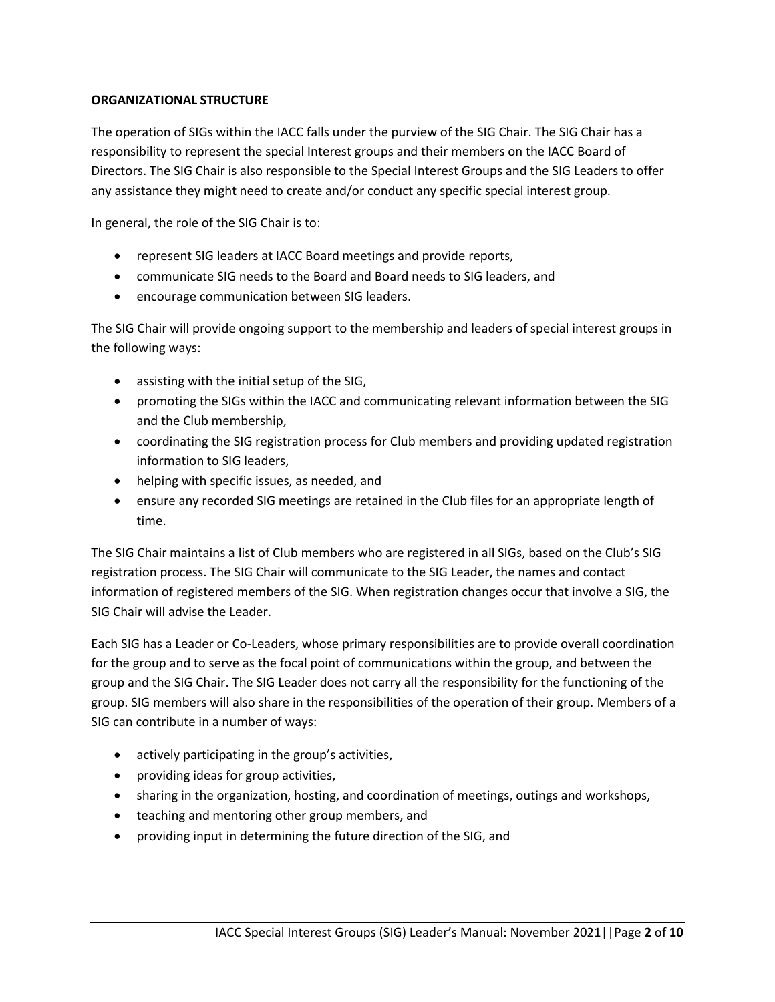#### **ORGANIZATIONAL STRUCTURE**

The operation of SIGs within the IACC falls under the purview of the SIG Chair. The SIG Chair has a responsibility to represent the special Interest groups and their members on the IACC Board of Directors. The SIG Chair is also responsible to the Special Interest Groups and the SIG Leaders to offer any assistance they might need to create and/or conduct any specific special interest group.

In general, the role of the SIG Chair is to:

- represent SIG leaders at IACC Board meetings and provide reports,
- communicate SIG needs to the Board and Board needs to SIG leaders, and
- encourage communication between SIG leaders.

The SIG Chair will provide ongoing support to the membership and leaders of special interest groups in the following ways:

- assisting with the initial setup of the SIG,
- promoting the SIGs within the IACC and communicating relevant information between the SIG and the Club membership,
- coordinating the SIG registration process for Club members and providing updated registration information to SIG leaders,
- helping with specific issues, as needed, and
- ensure any recorded SIG meetings are retained in the Club files for an appropriate length of time.

The SIG Chair maintains a list of Club members who are registered in all SIGs, based on the Club's SIG registration process. The SIG Chair will communicate to the SIG Leader, the names and contact information of registered members of the SIG. When registration changes occur that involve a SIG, the SIG Chair will advise the Leader.

Each SIG has a Leader or Co-Leaders, whose primary responsibilities are to provide overall coordination for the group and to serve as the focal point of communications within the group, and between the group and the SIG Chair. The SIG Leader does not carry all the responsibility for the functioning of the group. SIG members will also share in the responsibilities of the operation of their group. Members of a SIG can contribute in a number of ways:

- actively participating in the group's activities,
- providing ideas for group activities,
- sharing in the organization, hosting, and coordination of meetings, outings and workshops,
- teaching and mentoring other group members, and
- providing input in determining the future direction of the SIG, and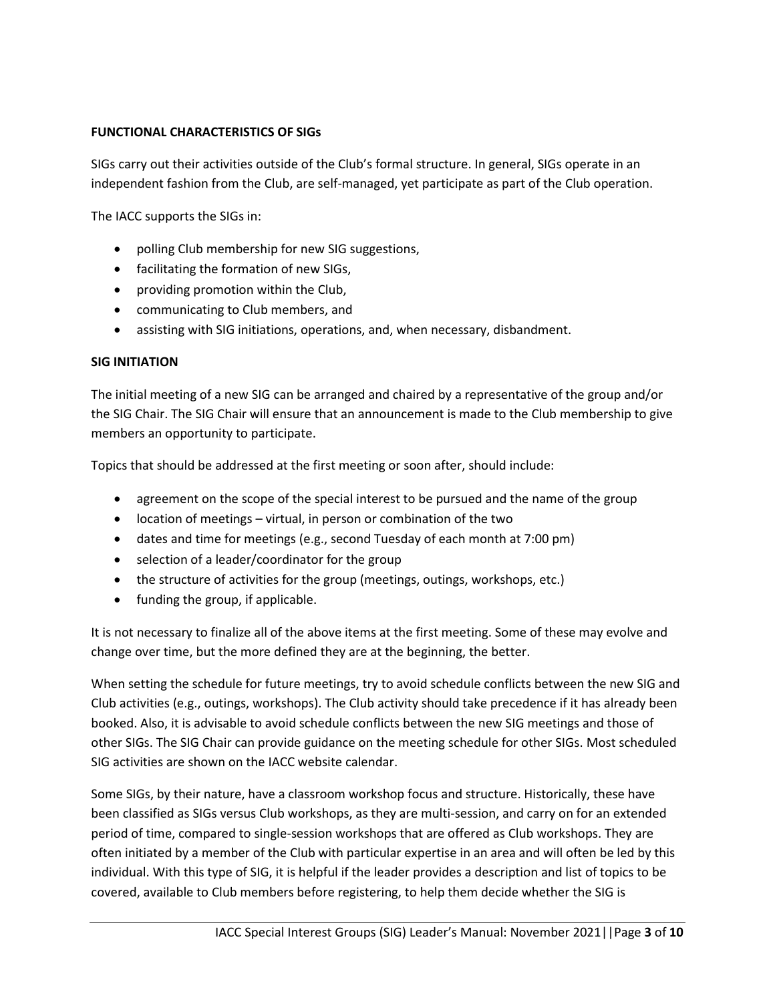#### **FUNCTIONAL CHARACTERISTICS OF SIGs**

SIGs carry out their activities outside of the Club's formal structure. In general, SIGs operate in an independent fashion from the Club, are self-managed, yet participate as part of the Club operation.

The IACC supports the SIGs in:

- polling Club membership for new SIG suggestions,
- facilitating the formation of new SIGs,
- providing promotion within the Club,
- communicating to Club members, and
- assisting with SIG initiations, operations, and, when necessary, disbandment.

#### **SIG INITIATION**

The initial meeting of a new SIG can be arranged and chaired by a representative of the group and/or the SIG Chair. The SIG Chair will ensure that an announcement is made to the Club membership to give members an opportunity to participate.

Topics that should be addressed at the first meeting or soon after, should include:

- agreement on the scope of the special interest to be pursued and the name of the group
- location of meetings virtual, in person or combination of the two
- dates and time for meetings (e.g., second Tuesday of each month at 7:00 pm)
- selection of a leader/coordinator for the group
- the structure of activities for the group (meetings, outings, workshops, etc.)
- funding the group, if applicable.

It is not necessary to finalize all of the above items at the first meeting. Some of these may evolve and change over time, but the more defined they are at the beginning, the better.

When setting the schedule for future meetings, try to avoid schedule conflicts between the new SIG and Club activities (e.g., outings, workshops). The Club activity should take precedence if it has already been booked. Also, it is advisable to avoid schedule conflicts between the new SIG meetings and those of other SIGs. The SIG Chair can provide guidance on the meeting schedule for other SIGs. Most scheduled SIG activities are shown on the IACC website calendar.

Some SIGs, by their nature, have a classroom workshop focus and structure. Historically, these have been classified as SIGs versus Club workshops, as they are multi-session, and carry on for an extended period of time, compared to single-session workshops that are offered as Club workshops. They are often initiated by a member of the Club with particular expertise in an area and will often be led by this individual. With this type of SIG, it is helpful if the leader provides a description and list of topics to be covered, available to Club members before registering, to help them decide whether the SIG is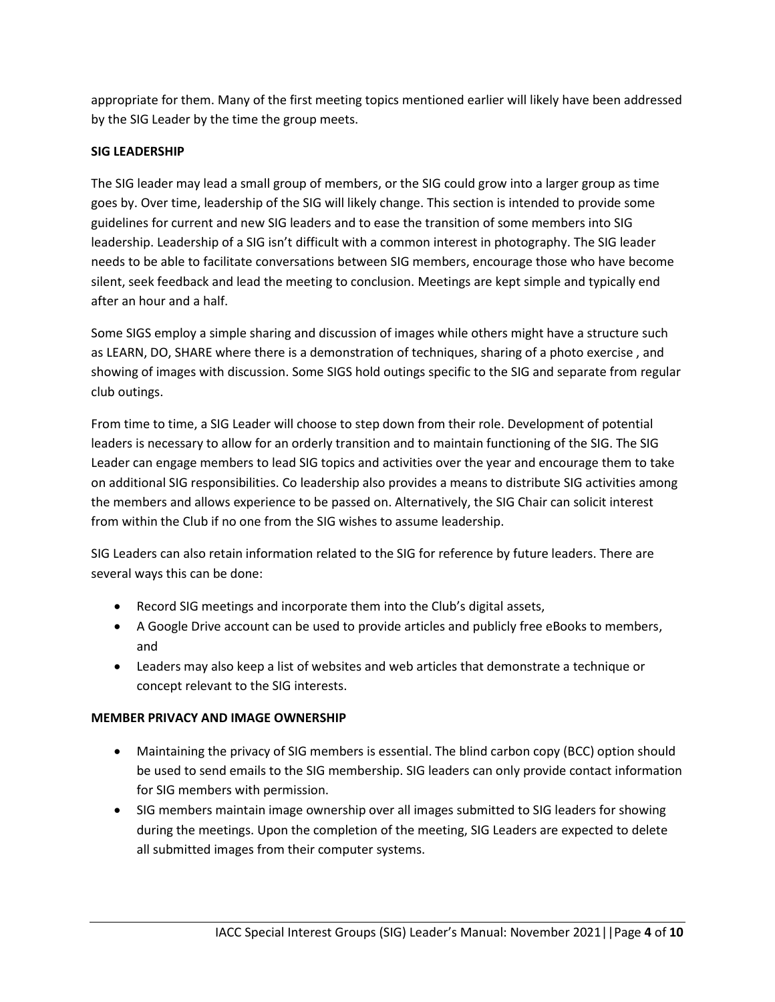appropriate for them. Many of the first meeting topics mentioned earlier will likely have been addressed by the SIG Leader by the time the group meets.

## **SIG LEADERSHIP**

The SIG leader may lead a small group of members, or the SIG could grow into a larger group as time goes by. Over time, leadership of the SIG will likely change. This section is intended to provide some guidelines for current and new SIG leaders and to ease the transition of some members into SIG leadership. Leadership of a SIG isn't difficult with a common interest in photography. The SIG leader needs to be able to facilitate conversations between SIG members, encourage those who have become silent, seek feedback and lead the meeting to conclusion. Meetings are kept simple and typically end after an hour and a half.

Some SIGS employ a simple sharing and discussion of images while others might have a structure such as LEARN, DO, SHARE where there is a demonstration of techniques, sharing of a photo exercise , and showing of images with discussion. Some SIGS hold outings specific to the SIG and separate from regular club outings.

From time to time, a SIG Leader will choose to step down from their role. Development of potential leaders is necessary to allow for an orderly transition and to maintain functioning of the SIG. The SIG Leader can engage members to lead SIG topics and activities over the year and encourage them to take on additional SIG responsibilities. Co leadership also provides a means to distribute SIG activities among the members and allows experience to be passed on. Alternatively, the SIG Chair can solicit interest from within the Club if no one from the SIG wishes to assume leadership.

SIG Leaders can also retain information related to the SIG for reference by future leaders. There are several ways this can be done:

- Record SIG meetings and incorporate them into the Club's digital assets,
- A Google Drive account can be used to provide articles and publicly free eBooks to members, and
- Leaders may also keep a list of websites and web articles that demonstrate a technique or concept relevant to the SIG interests.

#### **MEMBER PRIVACY AND IMAGE OWNERSHIP**

- Maintaining the privacy of SIG members is essential. The blind carbon copy (BCC) option should be used to send emails to the SIG membership. SIG leaders can only provide contact information for SIG members with permission.
- SIG members maintain image ownership over all images submitted to SIG leaders for showing during the meetings. Upon the completion of the meeting, SIG Leaders are expected to delete all submitted images from their computer systems.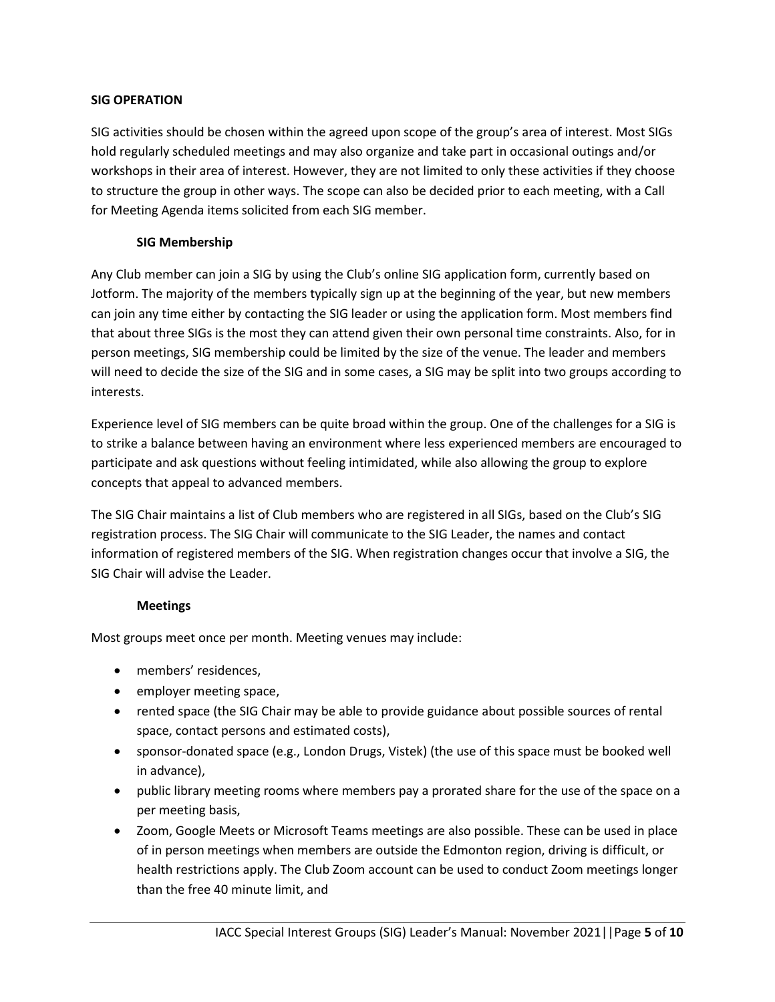## **SIG OPERATION**

SIG activities should be chosen within the agreed upon scope of the group's area of interest. Most SIGs hold regularly scheduled meetings and may also organize and take part in occasional outings and/or workshops in their area of interest. However, they are not limited to only these activities if they choose to structure the group in other ways. The scope can also be decided prior to each meeting, with a Call for Meeting Agenda items solicited from each SIG member.

## **SIG Membership**

Any Club member can join a SIG by using the Club's online SIG application form, currently based on Jotform. The majority of the members typically sign up at the beginning of the year, but new members can join any time either by contacting the SIG leader or using the application form. Most members find that about three SIGs is the most they can attend given their own personal time constraints. Also, for in person meetings, SIG membership could be limited by the size of the venue. The leader and members will need to decide the size of the SIG and in some cases, a SIG may be split into two groups according to interests.

Experience level of SIG members can be quite broad within the group. One of the challenges for a SIG is to strike a balance between having an environment where less experienced members are encouraged to participate and ask questions without feeling intimidated, while also allowing the group to explore concepts that appeal to advanced members.

The SIG Chair maintains a list of Club members who are registered in all SIGs, based on the Club's SIG registration process. The SIG Chair will communicate to the SIG Leader, the names and contact information of registered members of the SIG. When registration changes occur that involve a SIG, the SIG Chair will advise the Leader.

## **Meetings**

Most groups meet once per month. Meeting venues may include:

- members' residences,
- employer meeting space,
- rented space (the SIG Chair may be able to provide guidance about possible sources of rental space, contact persons and estimated costs),
- sponsor-donated space (e.g., London Drugs, Vistek) (the use of this space must be booked well in advance),
- public library meeting rooms where members pay a prorated share for the use of the space on a per meeting basis,
- Zoom, Google Meets or Microsoft Teams meetings are also possible. These can be used in place of in person meetings when members are outside the Edmonton region, driving is difficult, or health restrictions apply. The Club Zoom account can be used to conduct Zoom meetings longer than the free 40 minute limit, and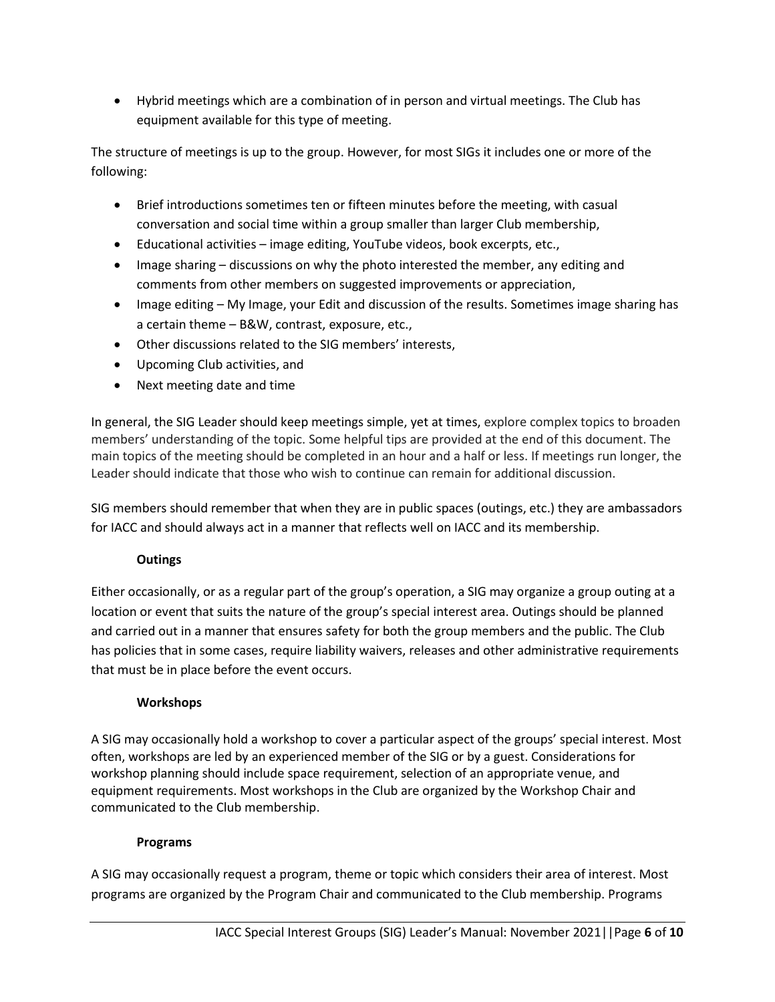• Hybrid meetings which are a combination of in person and virtual meetings. The Club has equipment available for this type of meeting.

The structure of meetings is up to the group. However, for most SIGs it includes one or more of the following:

- Brief introductions sometimes ten or fifteen minutes before the meeting, with casual conversation and social time within a group smaller than larger Club membership,
- Educational activities image editing, YouTube videos, book excerpts, etc.,
- Image sharing discussions on why the photo interested the member, any editing and comments from other members on suggested improvements or appreciation,
- Image editing My Image, your Edit and discussion of the results. Sometimes image sharing has a certain theme – B&W, contrast, exposure, etc.,
- Other discussions related to the SIG members' interests,
- Upcoming Club activities, and
- Next meeting date and time

In general, the SIG Leader should keep meetings simple, yet at times, explore complex topics to broaden members' understanding of the topic. Some helpful tips are provided at the end of this document. The main topics of the meeting should be completed in an hour and a half or less. If meetings run longer, the Leader should indicate that those who wish to continue can remain for additional discussion.

SIG members should remember that when they are in public spaces (outings, etc.) they are ambassadors for IACC and should always act in a manner that reflects well on IACC and its membership.

## **Outings**

Either occasionally, or as a regular part of the group's operation, a SIG may organize a group outing at a location or event that suits the nature of the group's special interest area. Outings should be planned and carried out in a manner that ensures safety for both the group members and the public. The Club has policies that in some cases, require liability waivers, releases and other administrative requirements that must be in place before the event occurs.

## **Workshops**

A SIG may occasionally hold a workshop to cover a particular aspect of the groups' special interest. Most often, workshops are led by an experienced member of the SIG or by a guest. Considerations for workshop planning should include space requirement, selection of an appropriate venue, and equipment requirements. Most workshops in the Club are organized by the Workshop Chair and communicated to the Club membership.

## **Programs**

A SIG may occasionally request a program, theme or topic which considers their area of interest. Most programs are organized by the Program Chair and communicated to the Club membership. Programs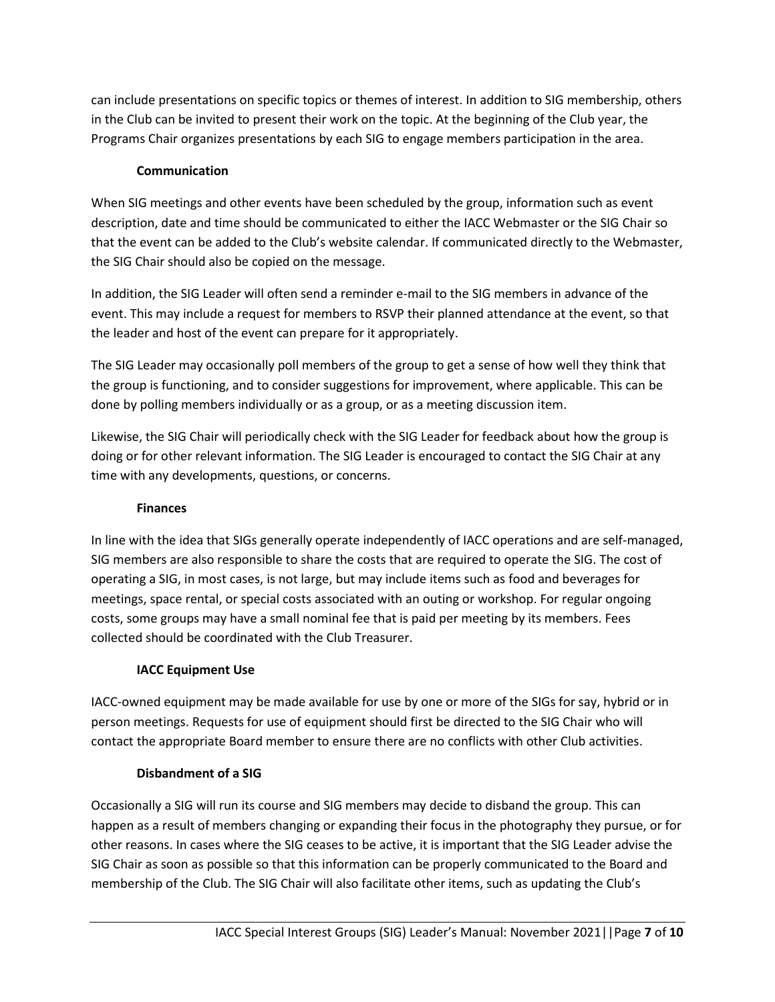can include presentations on specific topics or themes of interest. In addition to SIG membership, others in the Club can be invited to present their work on the topic. At the beginning of the Club year, the Programs Chair organizes presentations by each SIG to engage members participation in the area.

## **Communication**

When SIG meetings and other events have been scheduled by the group, information such as event description, date and time should be communicated to either the IACC Webmaster or the SIG Chair so that the event can be added to the Club's website calendar. If communicated directly to the Webmaster, the SIG Chair should also be copied on the message.

In addition, the SIG Leader will often send a reminder e-mail to the SIG members in advance of the event. This may include a request for members to RSVP their planned attendance at the event, so that the leader and host of the event can prepare for it appropriately.

The SIG Leader may occasionally poll members of the group to get a sense of how well they think that the group is functioning, and to consider suggestions for improvement, where applicable. This can be done by polling members individually or as a group, or as a meeting discussion item.

Likewise, the SIG Chair will periodically check with the SIG Leader for feedback about how the group is doing or for other relevant information. The SIG Leader is encouraged to contact the SIG Chair at any time with any developments, questions, or concerns.

## **Finances**

In line with the idea that SIGs generally operate independently of IACC operations and are self-managed, SIG members are also responsible to share the costs that are required to operate the SIG. The cost of operating a SIG, in most cases, is not large, but may include items such as food and beverages for meetings, space rental, or special costs associated with an outing or workshop. For regular ongoing costs, some groups may have a small nominal fee that is paid per meeting by its members. Fees collected should be coordinated with the Club Treasurer.

## **IACC Equipment Use**

IACC-owned equipment may be made available for use by one or more of the SIGs for say, hybrid or in person meetings. Requests for use of equipment should first be directed to the SIG Chair who will contact the appropriate Board member to ensure there are no conflicts with other Club activities.

## **Disbandment of a SIG**

Occasionally a SIG will run its course and SIG members may decide to disband the group. This can happen as a result of members changing or expanding their focus in the photography they pursue, or for other reasons. In cases where the SIG ceases to be active, it is important that the SIG Leader advise the SIG Chair as soon as possible so that this information can be properly communicated to the Board and membership of the Club. The SIG Chair will also facilitate other items, such as updating the Club's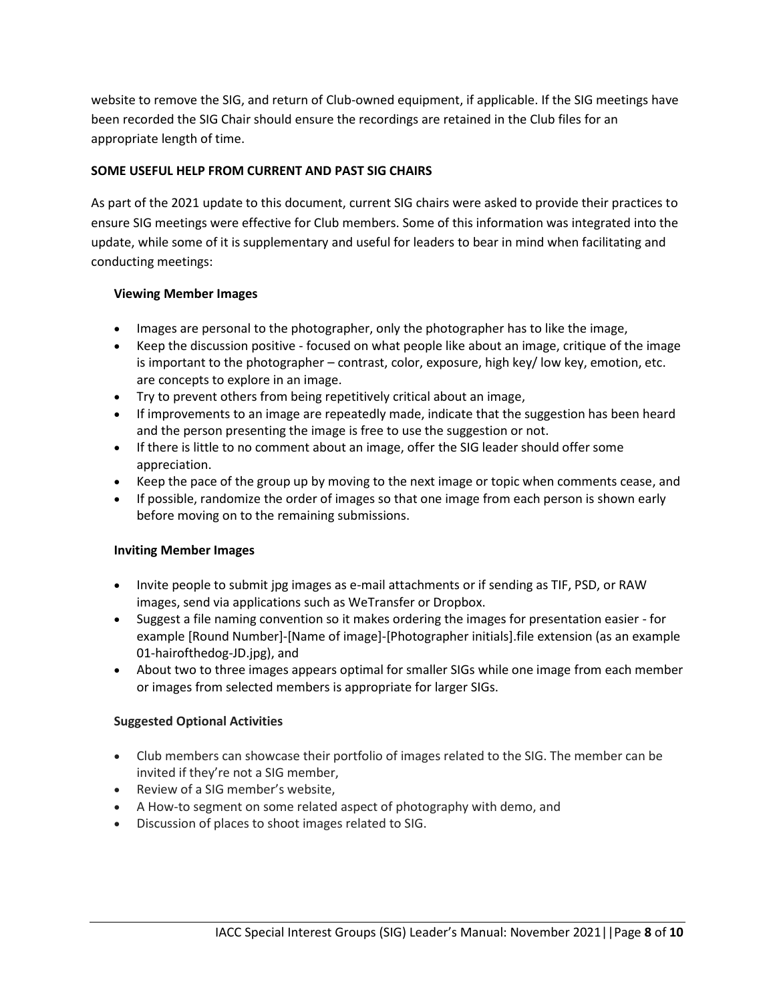website to remove the SIG, and return of Club-owned equipment, if applicable. If the SIG meetings have been recorded the SIG Chair should ensure the recordings are retained in the Club files for an appropriate length of time.

## **SOME USEFUL HELP FROM CURRENT AND PAST SIG CHAIRS**

As part of the 2021 update to this document, current SIG chairs were asked to provide their practices to ensure SIG meetings were effective for Club members. Some of this information was integrated into the update, while some of it is supplementary and useful for leaders to bear in mind when facilitating and conducting meetings:

## **Viewing Member Images**

- Images are personal to the photographer, only the photographer has to like the image,
- Keep the discussion positive focused on what people like about an image, critique of the image is important to the photographer – contrast, color, exposure, high key/ low key, emotion, etc. are concepts to explore in an image.
- Try to prevent others from being repetitively critical about an image,
- If improvements to an image are repeatedly made, indicate that the suggestion has been heard and the person presenting the image is free to use the suggestion or not.
- If there is little to no comment about an image, offer the SIG leader should offer some appreciation.
- Keep the pace of the group up by moving to the next image or topic when comments cease, and
- If possible, randomize the order of images so that one image from each person is shown early before moving on to the remaining submissions.

## **Inviting Member Images**

- Invite people to submit jpg images as e-mail attachments or if sending as TIF, PSD, or RAW images, send via applications such as WeTransfer or Dropbox.
- Suggest a file naming convention so it makes ordering the images for presentation easier for example [Round Number]-[Name of image]-[Photographer initials].file extension (as an example 01-hairofthedog-JD.jpg), and
- About two to three images appears optimal for smaller SIGs while one image from each member or images from selected members is appropriate for larger SIGs.

## **Suggested Optional Activities**

- Club members can showcase their portfolio of images related to the SIG. The member can be invited if they're not a SIG member,
- Review of a SIG member's website,
- A How-to segment on some related aspect of photography with demo, and
- Discussion of places to shoot images related to SIG.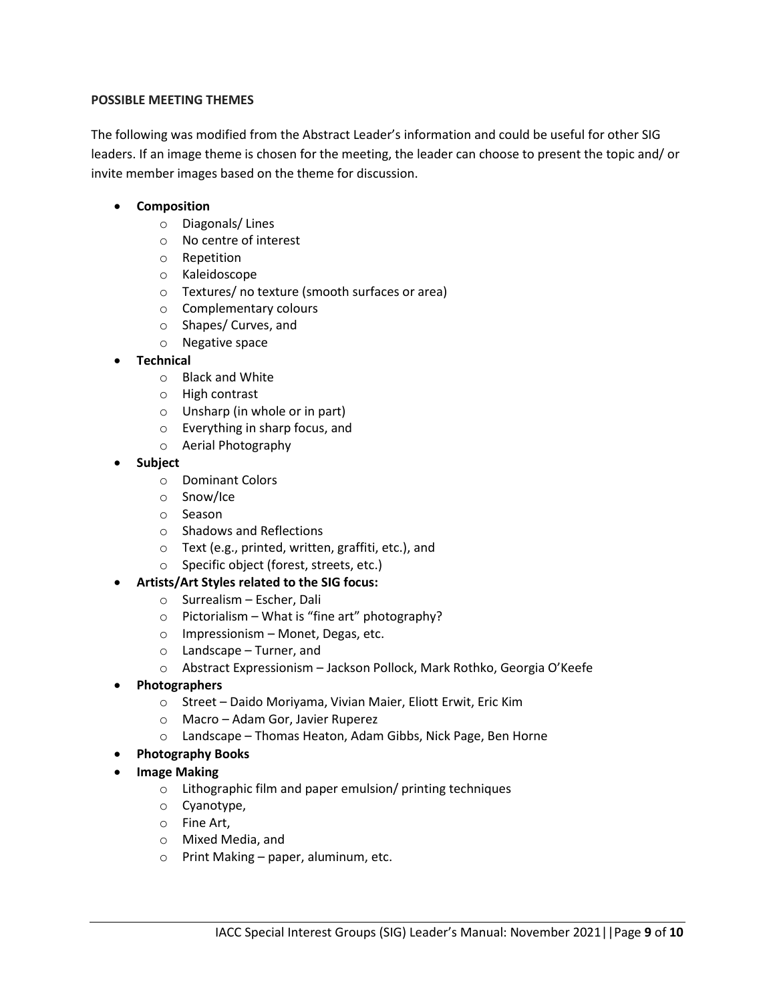#### **POSSIBLE MEETING THEMES**

The following was modified from the Abstract Leader's information and could be useful for other SIG leaders. If an image theme is chosen for the meeting, the leader can choose to present the topic and/ or invite member images based on the theme for discussion.

## • **Composition**

- o Diagonals/ Lines
- o No centre of interest
- o Repetition
- o Kaleidoscope
- o Textures/ no texture (smooth surfaces or area)
- o Complementary colours
- o Shapes/ Curves, and
- o Negative space
- **Technical**
	- o Black and White
	- o High contrast
	- o Unsharp (in whole or in part)
	- o Everything in sharp focus, and
	- o Aerial Photography
- **Subject**
	- o Dominant Colors
	- o Snow/Ice
	- o Season
	- o Shadows and Reflections
	- o Text (e.g., printed, written, graffiti, etc.), and
	- o Specific object (forest, streets, etc.)
- **Artists/Art Styles related to the SIG focus:**
	- o Surrealism Escher, Dali
	- $\circ$  Pictorialism What is "fine art" photography?
	- o Impressionism Monet, Degas, etc.
	- o Landscape Turner, and
	- o Abstract Expressionism Jackson Pollock, Mark Rothko, Georgia O'Keefe
- **Photographers**
	- o Street Daido Moriyama, Vivian Maier, Eliott Erwit, Eric Kim
	- o Macro Adam Gor, Javier Ruperez
	- o Landscape Thomas Heaton, Adam Gibbs, Nick Page, Ben Horne
- **Photography Books**
- **Image Making**
	- o Lithographic film and paper emulsion/ printing techniques
	- o Cyanotype,
	- o Fine Art,
	- o Mixed Media, and
	- o Print Making paper, aluminum, etc.